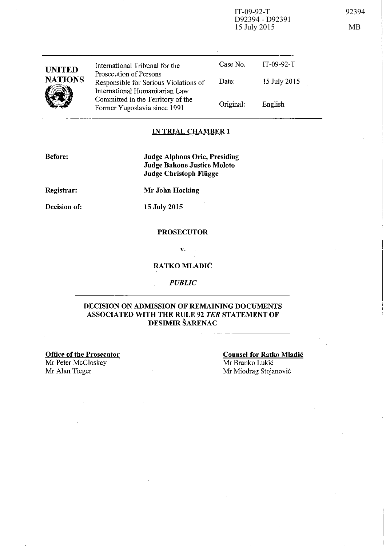IT-09-92-T 92394 D92394 - D92391 15 July 2015 MB

| <b>UNITED</b><br><b>NATIONS</b> | International Tribunal for the<br>Prosecution of Persons<br>Responsible for Serious Violations of<br>International Humanitarian Law | Case No.<br>Date: | $IT-09-92-T$<br>15 July 2015 |
|---------------------------------|-------------------------------------------------------------------------------------------------------------------------------------|-------------------|------------------------------|
|                                 | Committed in the Territory of the<br>Former Yugoslavia since 1991                                                                   | Original:         | English                      |

### **IN TRIAL CHAMBER I**

**Before:** 

**Judge Alphons Orie, Presiding Judge Bakone Justice Moloto Judge Christoph Fliigge** 

**Registrar:** 

**Mr John Hocking** 

**Decision of:** 

**15 July 2015** 

#### **PROSECUTOR**

v.

## **RATKOMLADIC**

*PUBLIC* 

#### **DECISION ON ADMISSION OF REMAINING DOCUMENTS ASSOCIATED WITH THE RULE 92** *TER* **STATEMENT OF DESIMIR SARENAC**

**Office of the Prosecutor**  Mr Peter McCloskey Mr Alan Tieger

**Counsel for Ratko Mladic**  Mr Branko Lukic Mr Miodrag Stojanovic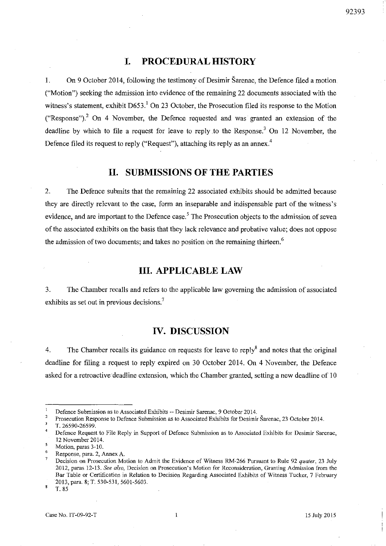#### 92393

# **I. PROCEDURAL HISTORY**

I. On 9 October 2014, following the testimony of Desimir Sarenac, the Defence filed a motion ("Motion") seeking the admission into evidence of the remaining 22 documents associated with the witness's statement, exhibit  $D653<sup>1</sup>$  On 23 October, the Prosecution filed its response to the Motion ("Response").<sup>2</sup> On 4 November, the Defence requested and was granted an extension of the deadline by which to file a request for leave to reply to the Response.<sup>3</sup> On 12 November, the Defence filed its request to reply ("Request"), attaching its reply as an annex.<sup>4</sup>

## **II. SUBMISSIONS OF THE PARTIES**

2. The Defence submits that the remaining 22 associated exhibits should be admitted because they are directly relevant to the case, form an inseparable and indispensable part of the witness's evidence, and are important to the Defence case.<sup>5</sup> The Prosecution objects to the admission of seven of the associated exhibits on the basis that they lack relevance and probative value; does not oppose the admission of two documents; and takes no position on the remaining thirteen.<sup>6</sup>

## **III. APPLICABLE LAW**

3. The Chamber recalls and refers to the applicable law governing the admission of associated exhibits as set out in previous decisions.<sup>7</sup>

# **IV. DISCUSSION**

4. The Chamber recalls its guidance on requests for leave to reply<sup>8</sup> and notes that the original deadline for filing a request to reply expired on 30 October 2014. On 4 November, the Defence asked for a retroactive deadline extension, which the Chamber granted, setting a new deadline of 10

**Defence Submission as to Associated Exhibits -- Desimir Sarenac, 9 October 2014.** 

<sup>2</sup>  **Prosecution Response to Defence Submission as to Associated Exhibits for Desimir Sarenac, 23 October 2014.** 

 $\overline{3}$ T.26590-26599.

<sup>4</sup>  **Defence Request to File Reply in Support of Defence Submission as to Associated Exhibits for Desimir Sarenae,**  12 November 2014.

<sup>5</sup> **Motion, paras 3-10.** 

<sup>6</sup>  **Response, para. 2, Annex A.** 

Decision on Prosecution Motion to Admit the Evidence of Witness RM-266 Pursuant to Rule 92 *quater*, 23 July **2012, paras 12-13.** *See also,* **Decision on Prosecution's Motion for Reconsideration, Granting Admission from the Bar Table or Certification in Relation to Decision Regarding Associated Exhibits of Witness Tucker, 7 February**  2013, para. 8; T. 530-531, 5601-5603.

 $\boldsymbol{8}$ T.85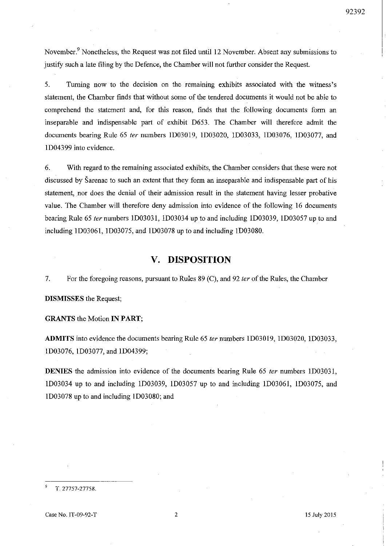November.<sup>9</sup> Nonetheless, the Request was not filed until 12 November. Absent any submissions to justifY such a late filing by the Defence, the Chamber will not further consider the Request.

5. Turning now to the decision on the remaining exhibits associated with the witness's statement, the Chamber fmds that without some of the tendered documents it would not be able to comprehend the statement and, for this reason, finds that the following documents form an inseparable and indispensable part of exhibit D653. The Chamber will therefore admit the documents bearing Rule 65 *ter* numbers lD03019, lD03020, lD03033, lD03076, lD03077, and lD04399 into evidence.

6. With regard to the remaining associated exhibits, the Chamber considers that these were not discussed by Sarenac to such an extent that they fonn an inseparable and indispensable part of his statement, nor does the denial of their admission result in the statement having lesser probative value. The Chamber will therefore deny admission into evidence of the following 16 documents bearing Rule 65 ternumbers lD0303l, lD03034 up to and including lD03039, lD03057 up to and including lD0306l, lD03075, and lD03078 up to and including lD03080.

## **V. DISPOSITION**

7. For the foregoing reasons, pursuant to Rules 89 (C), and 92 *ter* of the Rules, the Chamber

**DISMISSES** the Request;

**GRANTS** the Motion **IN PART;** 

**ADMITS** into evidence the documents bearing Rule 65 *ter* numbers lD030l9, ID03020, ID03033, lD03076, lD03077, and lD04399;

**DENIES** the admission into evidence of the documents bearing Rule 65 *ter* numbers lD0303l, lD03034 up to and including lD03039, lD03057 up to and including lD03061, lD03075, and lD03078 up to and including lD03080; and

T. 27757-27758.